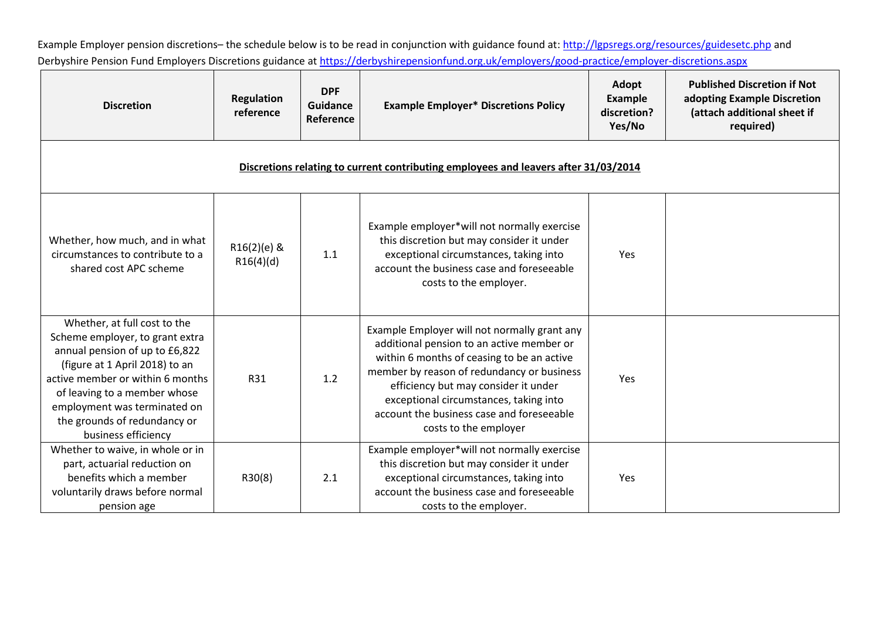Example Employer pension discretions-the schedule below is to be read in conjunction with guidance found at[: http://lgpsregs.org/resources/guidesetc.php](http://lgpsregs.org/resources/guidesetc.php) and Derbyshire Pension Fund Employers Discretions guidance at<https://derbyshirepensionfund.org.uk/employers/good-practice/employer-discretions.aspx>

| <b>Discretion</b>                                                                                                                                                                                                                                                                              | <b>Regulation</b><br>reference | <b>DPF</b><br>Guidance<br>Reference | <b>Example Employer* Discretions Policy</b>                                                                                                                                                                                                                                                                                                   | Adopt<br>Example<br>discretion?<br>Yes/No | <b>Published Discretion if Not</b><br>adopting Example Discretion<br>(attach additional sheet if<br>required) |
|------------------------------------------------------------------------------------------------------------------------------------------------------------------------------------------------------------------------------------------------------------------------------------------------|--------------------------------|-------------------------------------|-----------------------------------------------------------------------------------------------------------------------------------------------------------------------------------------------------------------------------------------------------------------------------------------------------------------------------------------------|-------------------------------------------|---------------------------------------------------------------------------------------------------------------|
| Discretions relating to current contributing employees and leavers after 31/03/2014                                                                                                                                                                                                            |                                |                                     |                                                                                                                                                                                                                                                                                                                                               |                                           |                                                                                                               |
| Whether, how much, and in what<br>circumstances to contribute to a<br>shared cost APC scheme                                                                                                                                                                                                   | R16(2)(e) &<br>R16(4)(d)       | 1.1                                 | Example employer*will not normally exercise<br>this discretion but may consider it under<br>exceptional circumstances, taking into<br>account the business case and foreseeable<br>costs to the employer.                                                                                                                                     | Yes                                       |                                                                                                               |
| Whether, at full cost to the<br>Scheme employer, to grant extra<br>annual pension of up to £6,822<br>(figure at 1 April 2018) to an<br>active member or within 6 months<br>of leaving to a member whose<br>employment was terminated on<br>the grounds of redundancy or<br>business efficiency | R31                            | 1.2                                 | Example Employer will not normally grant any<br>additional pension to an active member or<br>within 6 months of ceasing to be an active<br>member by reason of redundancy or business<br>efficiency but may consider it under<br>exceptional circumstances, taking into<br>account the business case and foreseeable<br>costs to the employer | Yes                                       |                                                                                                               |
| Whether to waive, in whole or in<br>part, actuarial reduction on<br>benefits which a member<br>voluntarily draws before normal<br>pension age                                                                                                                                                  | R30(8)                         | 2.1                                 | Example employer*will not normally exercise<br>this discretion but may consider it under<br>exceptional circumstances, taking into<br>account the business case and foreseeable<br>costs to the employer.                                                                                                                                     | Yes                                       |                                                                                                               |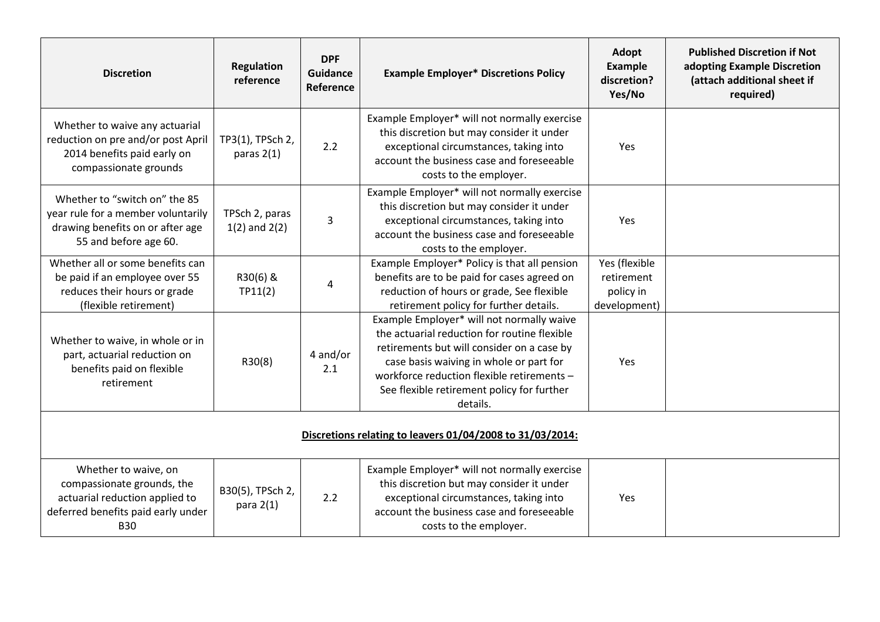| <b>Discretion</b>                                                                                                                        | <b>Regulation</b><br>reference      | <b>DPF</b><br>Guidance<br>Reference | <b>Example Employer* Discretions Policy</b>                                                                                                                                                                                                                                                | Adopt<br><b>Example</b><br>discretion?<br>Yes/No         | <b>Published Discretion if Not</b><br>adopting Example Discretion<br>(attach additional sheet if<br>required) |
|------------------------------------------------------------------------------------------------------------------------------------------|-------------------------------------|-------------------------------------|--------------------------------------------------------------------------------------------------------------------------------------------------------------------------------------------------------------------------------------------------------------------------------------------|----------------------------------------------------------|---------------------------------------------------------------------------------------------------------------|
| Whether to waive any actuarial<br>reduction on pre and/or post April<br>2014 benefits paid early on<br>compassionate grounds             | TP3(1), TPSch 2,<br>paras $2(1)$    | 2.2                                 | Example Employer* will not normally exercise<br>this discretion but may consider it under<br>exceptional circumstances, taking into<br>account the business case and foreseeable<br>costs to the employer.                                                                                 | Yes                                                      |                                                                                                               |
| Whether to "switch on" the 85<br>year rule for a member voluntarily<br>drawing benefits on or after age<br>55 and before age 60.         | TPSch 2, paras<br>$1(2)$ and $2(2)$ | 3                                   | Example Employer* will not normally exercise<br>this discretion but may consider it under<br>exceptional circumstances, taking into<br>account the business case and foreseeable<br>costs to the employer.                                                                                 | Yes                                                      |                                                                                                               |
| Whether all or some benefits can<br>be paid if an employee over 55<br>reduces their hours or grade<br>(flexible retirement)              | R30(6) &<br>TP11(2)                 | 4                                   | Example Employer* Policy is that all pension<br>benefits are to be paid for cases agreed on<br>reduction of hours or grade, See flexible<br>retirement policy for further details.                                                                                                         | Yes (flexible<br>retirement<br>policy in<br>development) |                                                                                                               |
| Whether to waive, in whole or in<br>part, actuarial reduction on<br>benefits paid on flexible<br>retirement                              | R30(8)                              | 4 and/or<br>2.1                     | Example Employer* will not normally waive<br>the actuarial reduction for routine flexible<br>retirements but will consider on a case by<br>case basis waiving in whole or part for<br>workforce reduction flexible retirements -<br>See flexible retirement policy for further<br>details. | Yes                                                      |                                                                                                               |
| Discretions relating to leavers 01/04/2008 to 31/03/2014:                                                                                |                                     |                                     |                                                                                                                                                                                                                                                                                            |                                                          |                                                                                                               |
| Whether to waive, on<br>compassionate grounds, the<br>actuarial reduction applied to<br>deferred benefits paid early under<br><b>B30</b> | B30(5), TPSch 2,<br>para $2(1)$     | 2.2                                 | Example Employer* will not normally exercise<br>this discretion but may consider it under<br>exceptional circumstances, taking into<br>account the business case and foreseeable<br>costs to the employer.                                                                                 | Yes                                                      |                                                                                                               |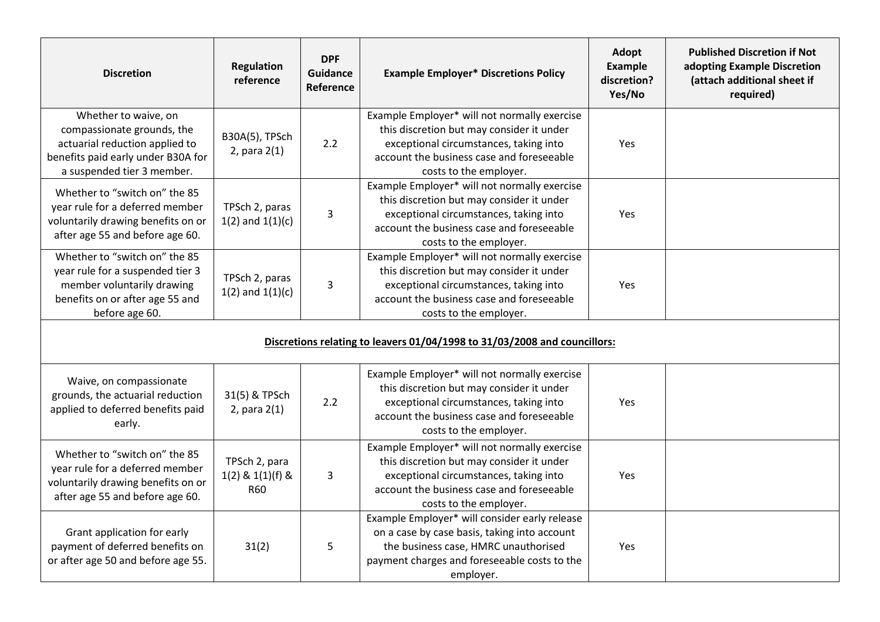| <b>Discretion</b>                                                                                                                                        | <b>Regulation</b><br>reference                      | <b>DPF</b><br><b>Guidance</b><br><b>Reference</b> | <b>Example Employer* Discretions Policy</b>                                                                                                                                                                | Adopt<br><b>Example</b><br>discretion?<br>Yes/No | <b>Published Discretion if Not</b><br>adopting Example Discretion<br>(attach additional sheet if<br>required) |
|----------------------------------------------------------------------------------------------------------------------------------------------------------|-----------------------------------------------------|---------------------------------------------------|------------------------------------------------------------------------------------------------------------------------------------------------------------------------------------------------------------|--------------------------------------------------|---------------------------------------------------------------------------------------------------------------|
| Whether to waive, on<br>compassionate grounds, the<br>actuarial reduction applied to<br>benefits paid early under B30A for<br>a suspended tier 3 member. | B30A(5), TPSch<br>$2$ , para $2(1)$                 | 2.2                                               | Example Employer* will not normally exercise<br>this discretion but may consider it under<br>exceptional circumstances, taking into<br>account the business case and foreseeable<br>costs to the employer. | Yes                                              |                                                                                                               |
| Whether to "switch on" the 85<br>year rule for a deferred member<br>voluntarily drawing benefits on or<br>after age 55 and before age 60.                | TPSch 2, paras<br>$1(2)$ and $1(1)(c)$              | $\overline{3}$                                    | Example Employer* will not normally exercise<br>this discretion but may consider it under<br>exceptional circumstances, taking into<br>account the business case and foreseeable<br>costs to the employer. | Yes                                              |                                                                                                               |
| Whether to "switch on" the 85<br>year rule for a suspended tier 3<br>member voluntarily drawing<br>benefits on or after age 55 and<br>before age 60.     | TPSch 2, paras<br>$1(2)$ and $1(1)(c)$              | $\overline{3}$                                    | Example Employer* will not normally exercise<br>this discretion but may consider it under<br>exceptional circumstances, taking into<br>account the business case and foreseeable<br>costs to the employer. | Yes                                              |                                                                                                               |
| Discretions relating to leavers 01/04/1998 to 31/03/2008 and councillors:                                                                                |                                                     |                                                   |                                                                                                                                                                                                            |                                                  |                                                                                                               |
| Waive, on compassionate<br>grounds, the actuarial reduction<br>applied to deferred benefits paid<br>early.                                               | 31(5) & TPSch<br>2, para $2(1)$                     | 2.2                                               | Example Employer* will not normally exercise<br>this discretion but may consider it under<br>exceptional circumstances, taking into<br>account the business case and foreseeable<br>costs to the employer. | Yes                                              |                                                                                                               |
| Whether to "switch on" the 85<br>year rule for a deferred member<br>voluntarily drawing benefits on or<br>after age 55 and before age 60.                | TPSch 2, para<br>$1(2)$ & $1(1)(f)$ &<br><b>R60</b> | $\mathsf{3}$                                      | Example Employer* will not normally exercise<br>this discretion but may consider it under<br>exceptional circumstances, taking into<br>account the business case and foreseeable<br>costs to the employer. | Yes                                              |                                                                                                               |
| Grant application for early<br>payment of deferred benefits on<br>or after age 50 and before age 55.                                                     | 31(2)                                               | 5                                                 | Example Employer* will consider early release<br>on a case by case basis, taking into account<br>the business case, HMRC unauthorised<br>payment charges and foreseeable costs to the<br>employer.         | Yes                                              |                                                                                                               |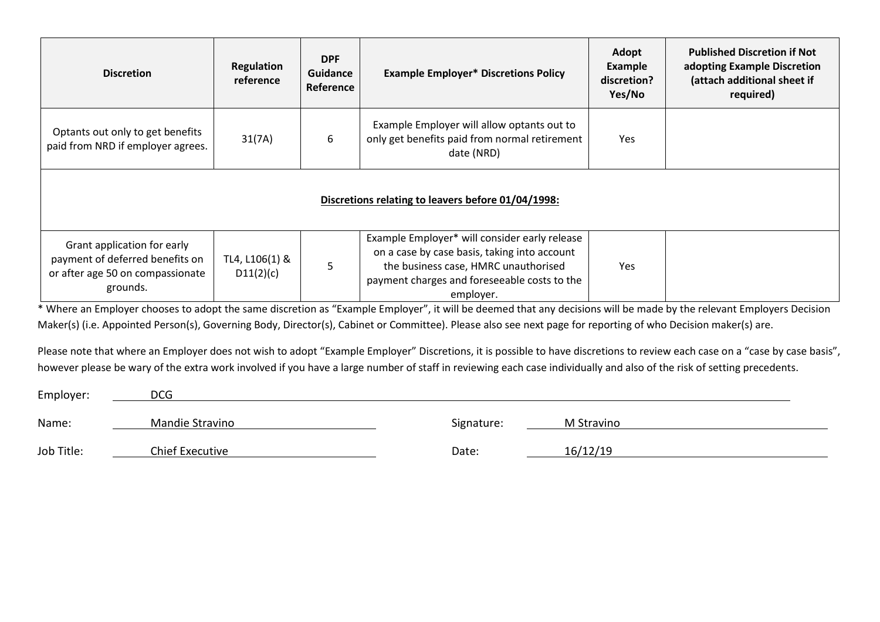| <b>Discretion</b>                                                                                              | <b>Regulation</b><br>reference | <b>DPF</b><br>Guidance<br>Reference | <b>Example Employer* Discretions Policy</b>                                                                                                                                                        | Adopt<br><b>Example</b><br>discretion?<br>Yes/No | <b>Published Discretion if Not</b><br>adopting Example Discretion<br>(attach additional sheet if<br>required) |
|----------------------------------------------------------------------------------------------------------------|--------------------------------|-------------------------------------|----------------------------------------------------------------------------------------------------------------------------------------------------------------------------------------------------|--------------------------------------------------|---------------------------------------------------------------------------------------------------------------|
| Optants out only to get benefits<br>paid from NRD if employer agrees.                                          | 31(7A)                         | 6                                   | Example Employer will allow optants out to<br>only get benefits paid from normal retirement<br>date (NRD)                                                                                          | Yes                                              |                                                                                                               |
| Discretions relating to leavers before 01/04/1998:                                                             |                                |                                     |                                                                                                                                                                                                    |                                                  |                                                                                                               |
| Grant application for early<br>payment of deferred benefits on<br>or after age 50 on compassionate<br>grounds. | TL4, L106(1) &<br>D11(2)(c)    | 5                                   | Example Employer* will consider early release<br>on a case by case basis, taking into account<br>the business case, HMRC unauthorised<br>payment charges and foreseeable costs to the<br>employer. | Yes                                              |                                                                                                               |

\* Where an Employer chooses to adopt the same discretion as "Example Employer", it will be deemed that any decisions will be made by the relevant Employers Decision Maker(s) (i.e. Appointed Person(s), Governing Body, Director(s), Cabinet or Committee). Please also see next page for reporting of who Decision maker(s) are.

Please note that where an Employer does not wish to adopt "Example Employer" Discretions, it is possible to have discretions to review each case on a "case by case basis", however please be wary of the extra work involved if you have a large number of staff in reviewing each case individually and also of the risk of setting precedents.

| Employer:  | <b>DCG</b>      |            |            |
|------------|-----------------|------------|------------|
| Name:      | Mandie Stravino | Signature: | M Stravino |
| Job Title: | Chief Executive | Date:      | 16/12/19   |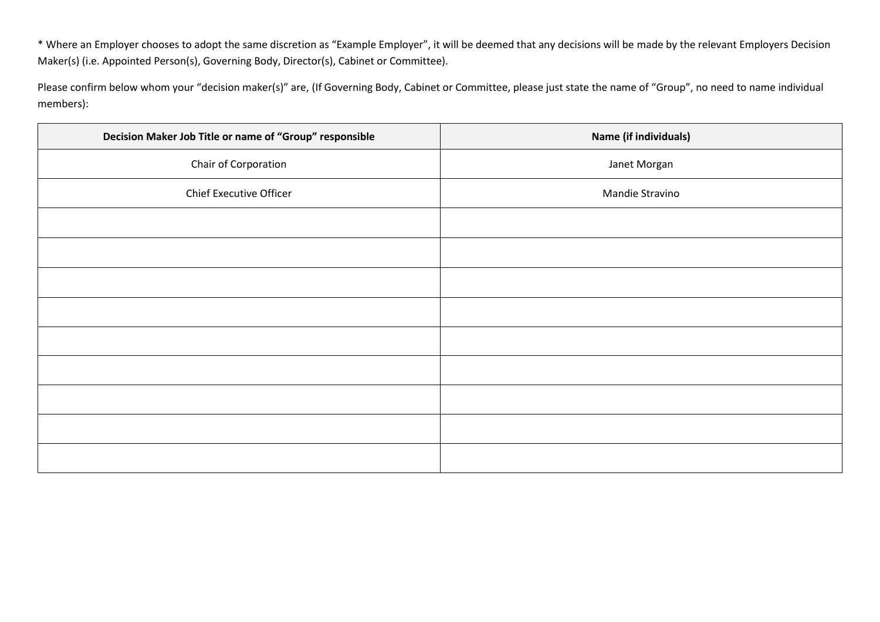\* Where an Employer chooses to adopt the same discretion as "Example Employer", it will be deemed that any decisions will be made by the relevant Employers Decision Maker(s) (i.e. Appointed Person(s), Governing Body, Director(s), Cabinet or Committee).

Please confirm below whom your "decision maker(s)" are, (If Governing Body, Cabinet or Committee, please just state the name of "Group", no need to name individual members):

| Decision Maker Job Title or name of "Group" responsible | Name (if individuals) |
|---------------------------------------------------------|-----------------------|
| Chair of Corporation                                    | Janet Morgan          |
| Chief Executive Officer                                 | Mandie Stravino       |
|                                                         |                       |
|                                                         |                       |
|                                                         |                       |
|                                                         |                       |
|                                                         |                       |
|                                                         |                       |
|                                                         |                       |
|                                                         |                       |
|                                                         |                       |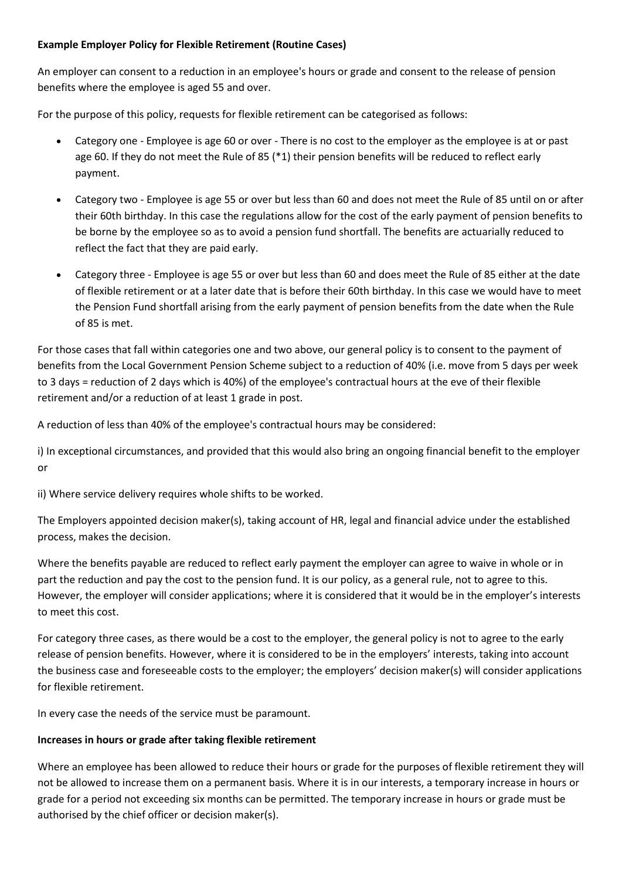## **Example Employer Policy for Flexible Retirement (Routine Cases)**

An employer can consent to a reduction in an employee's hours or grade and consent to the release of pension benefits where the employee is aged 55 and over.

For the purpose of this policy, requests for flexible retirement can be categorised as follows:

- Category one Employee is age 60 or over There is no cost to the employer as the employee is at or past age 60. If they do not meet the Rule of 85 (\*1) their pension benefits will be reduced to reflect early payment.
- Category two Employee is age 55 or over but less than 60 and does not meet the Rule of 85 until on or after their 60th birthday. In this case the regulations allow for the cost of the early payment of pension benefits to be borne by the employee so as to avoid a pension fund shortfall. The benefits are actuarially reduced to reflect the fact that they are paid early.
- Category three Employee is age 55 or over but less than 60 and does meet the Rule of 85 either at the date of flexible retirement or at a later date that is before their 60th birthday. In this case we would have to meet the Pension Fund shortfall arising from the early payment of pension benefits from the date when the Rule of 85 is met.

For those cases that fall within categories one and two above, our general policy is to consent to the payment of benefits from the Local Government Pension Scheme subject to a reduction of 40% (i.e. move from 5 days per week to 3 days = reduction of 2 days which is 40%) of the employee's contractual hours at the eve of their flexible retirement and/or a reduction of at least 1 grade in post.

A reduction of less than 40% of the employee's contractual hours may be considered:

i) In exceptional circumstances, and provided that this would also bring an ongoing financial benefit to the employer or

ii) Where service delivery requires whole shifts to be worked.

The Employers appointed decision maker(s), taking account of HR, legal and financial advice under the established process, makes the decision.

Where the benefits payable are reduced to reflect early payment the employer can agree to waive in whole or in part the reduction and pay the cost to the pension fund. It is our policy, as a general rule, not to agree to this. However, the employer will consider applications; where it is considered that it would be in the employer's interests to meet this cost.

For category three cases, as there would be a cost to the employer, the general policy is not to agree to the early release of pension benefits. However, where it is considered to be in the employers' interests, taking into account the business case and foreseeable costs to the employer; the employers' decision maker(s) will consider applications for flexible retirement.

In every case the needs of the service must be paramount.

## **Increases in hours or grade after taking flexible retirement**

Where an employee has been allowed to reduce their hours or grade for the purposes of flexible retirement they will not be allowed to increase them on a permanent basis. Where it is in our interests, a temporary increase in hours or grade for a period not exceeding six months can be permitted. The temporary increase in hours or grade must be authorised by the chief officer or decision maker(s).